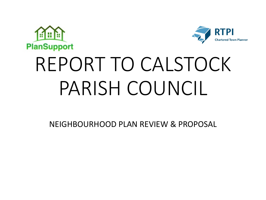



# REPORT TO CALSTOCK PARISH COUNCIL

NEIGHBOURHOOD PLAN REVIEW & PROPOSAL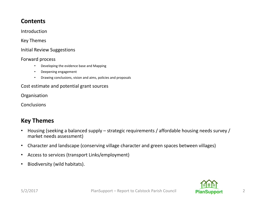# **Contents**

Introduction

Key Themes

#### Initial Review Suggestions

#### Forward process

- Developing the evidence base and Mapping
- Deepening engagement
- Drawing conclusions, vision and aims, policies and proposals

#### Cost estimate and potential grant sources

Organisation

**Conclusions** 

# **Key Themes**

- Housing (seeking a balanced supply strategic requirements / affordable housing needs survey / market needs assessment)
- Character and landscape (conserving village character and green spaces between villages)
- Access to services (transport Links/employment)
- Biodiversity (wild habitats).

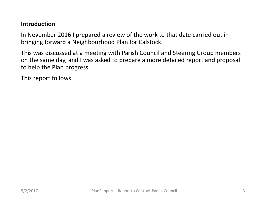# **Introduction**

In November 2016 I prepared a review of the work to that date carried out in bringing forward a Neighbourhood Plan for Calstock.

This was discussed at a meeting with Parish Council and Steering Group members on the same day, and I was asked to prepare a more detailed report and proposal to help the Plan progress.

This report follows.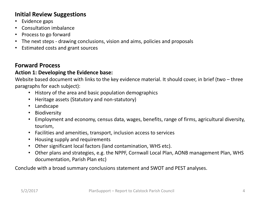# **Initial Review Suggestions**

- Evidence gaps
- **Consultation imbalance**
- Process to go forward
- The next steps drawing conclusions, vision and aims, policies and proposals
- Estimated costs and grant sources

# **Forward Process**

#### Action 1: Developing the Evidence base:

Website based document with links to the key evidence material. It should cover, in brief (two  $-$  three paragraphs for each subject):

- History of the area and basic population demographics
- Heritage assets (Statutory and non-statutory)
- Landscape
- Biodiversity
- Employment and economy, census data, wages, benefits, range of firms, agricultural diversity, tourism,
- Facilities and amenities, transport, inclusion access to services
- Housing supply and requirements
- Other significant local factors (land contamination, WHS etc).
- Other plans and strategies, e.g. the NPPF, Cornwall Local Plan, AONB management Plan, WHS documentation, Parish Plan etc)

Conclude with a broad summary conclusions statement and SWOT and PEST analyses.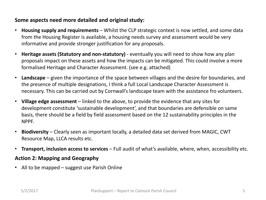#### **Some aspects need more detailed and original study:**

- **Housing supply and requirements** Whilst the CLP strategic context is now settled, and some data from the Housing Register is available, a housing needs survey and assessment would be very informative and provide stronger justification for any proposals.
- Heritage assets (Statutory and non-statutory) eventually you will need to show how any plan proposals impact on these assets and how the impacts can be mitigated. This could involve a more formalised Heritage and Character Assessment. (see e.g. attached)
- Landscape given the importance of the space between villages and the desire for boundaries, and the presence of multiple designations, I think a full Local Landscape Character Assessment is necessary. This can be carried out by Cornwall's landscape team with the assistance fro volunteers.
- Village edge assessment linked to the above, to provide the evidence that any sites for development constitute 'sustainable development', and that boundaries are defensible on same basis, there should be a field by field assessment based on the 12 sustainability principles in the NPPF.
- **Biodiversity** Clearly seen as important locally, a detailed data set derived from MAGIC, CWT Resource Map, LLCA results etc.
- **Transport, inclusion access to services** Full audit of what's available, where, when, accessibility etc.

#### **Action 2: Mapping and Geography**

• All to be mapped  $-$  suggest use Parish Online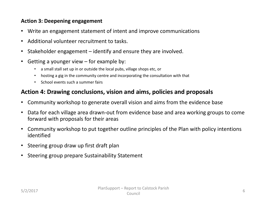#### Action 3: Deepening engagement

- Write an engagement statement of intent and improve communications
- Additional volunteer recruitment to tasks.
- Stakeholder engagement  $-$  identify and ensure they are involved.
- Getting a younger view  $-$  for example by:
	- a small stall set up in or outside the local pubs, village shops etc, or
	- hosting a gig in the community centre and incorporating the consultation with that
	- School events such a summer fairs

# Action 4: Drawing conclusions, vision and aims, policies and proposals

- Community workshop to generate overall vision and aims from the evidence base
- Data for each village area drawn-out from evidence base and area working groups to come forward with proposals for their areas
- Community workshop to put together outline principles of the Plan with policy intentions identified
- Steering group draw up first draft plan
- Steering group prepare Sustainability Statement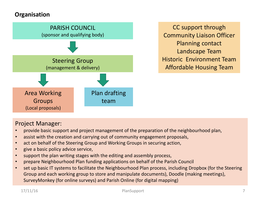# **Organisation**



CC support through **Community Liaison Officer** Planning contact Landscape Team Historic Fnvironment Team Affordable Housing Team

### Project Manager:

- provide basic support and project management of the preparation of the neighbourhood plan,
- assist with the creation and carrying out of community engagement proposals,
- act on behalf of the Steering Group and Working Groups in securing action,
- give a basic policy advice service,
- support the plan writing stages with the editing and assembly process,
- prepare Neighbourhood Plan funding applications on behalf of the Parish Council
- set up basic IT systems to facilitate the Neighbourhood Plan process, including Dropbox (for the Steering Group and each working group to store and manipulate documents), Doodle (making meetings), SurveyMonkey (for online surveys) and Parish Online (for digital mapping)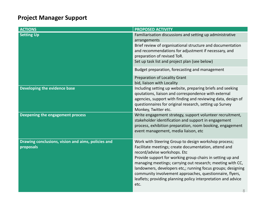# **Project Manager Support**

| <b>ACTIONS</b>                                                  | <b>PROPOSED ACTIVITY</b>                                                                                                                                                                                                                                                                                                                                                                                                                                                       |  |  |  |
|-----------------------------------------------------------------|--------------------------------------------------------------------------------------------------------------------------------------------------------------------------------------------------------------------------------------------------------------------------------------------------------------------------------------------------------------------------------------------------------------------------------------------------------------------------------|--|--|--|
| <b>Setting Up</b>                                               | Familiarisation discussions and setting up administrative<br>arrangements                                                                                                                                                                                                                                                                                                                                                                                                      |  |  |  |
|                                                                 | Brief review of organisational structure and documentation<br>and recommendations for adjustment if necessary, and<br>preparation of revised ToR.                                                                                                                                                                                                                                                                                                                              |  |  |  |
|                                                                 | Set up task list and project plan (see below)                                                                                                                                                                                                                                                                                                                                                                                                                                  |  |  |  |
|                                                                 | Budget preparation, forecasting and management                                                                                                                                                                                                                                                                                                                                                                                                                                 |  |  |  |
|                                                                 | <b>Preparation of Locality Grant</b><br>bid, liaison with Locality                                                                                                                                                                                                                                                                                                                                                                                                             |  |  |  |
| <b>Developing the evidence base</b>                             | Including setting up website, preparing briefs and seeking<br>goutations, liaison and correspondence with external<br>agencies, support with finding and reviewing data, design of<br>questionnaires for original research, setting up Survey<br>Monkey, Twitter etc.                                                                                                                                                                                                          |  |  |  |
| Deepening the engagement process                                | Write engagement strategy, support volunteer recruitment,<br>stakeholder identification and support in engagement<br>process, exhibition preparation, room booking, engagement<br>event management, media liaison, etc                                                                                                                                                                                                                                                         |  |  |  |
| Drawing conclusions, vision and aims, policies and<br>proposals | Work with Steering Group to design workshop process;<br>Facilitate meetings; create documentation, attend and<br>record/advise workshops. Etc<br>Provide support for working group chairs in setting up and<br>managing meetings; carrying out research; meeting with CC,<br>landowners, developers etc,; running focus groups; designing<br>community involvement approaches, questionnaire, flyers,<br>leaflets; providing planning policy interpretation and advice<br>etc. |  |  |  |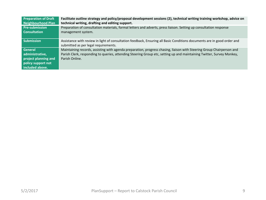| <b>Preparation of Draft</b>                                                                        | Facilitate outline strategy and policy/proposal development sessions (2), technical writing training workshop, advice on                                                                                                                                         |
|----------------------------------------------------------------------------------------------------|------------------------------------------------------------------------------------------------------------------------------------------------------------------------------------------------------------------------------------------------------------------|
| <b>Neighbourhood Plan</b>                                                                          | technical writing, drafting and editing support.                                                                                                                                                                                                                 |
| <b>Pre-submission</b>                                                                              | Preparation of consultation materials, formal letters and adverts, press liaison. Setting up consultation response                                                                                                                                               |
| <b>Consultation</b>                                                                                | management system.                                                                                                                                                                                                                                               |
| <b>Submission</b>                                                                                  | Assistance with review in light of consultation feedback, Ensuring all Basic Conditions documents are in good order and<br>submitted as per legal requirements.                                                                                                  |
| <b>General</b><br>administrative,<br>project planning and<br>policy support not<br>included above. | Maintaining records, assisting with agenda preparation, progress chasing, liaison with Steering Group Chairperson and<br>Parish Clerk, responding to queries, attending Steering Group etc, setting up and maintaining Twitter, Survey Monkey,<br>Parish Online. |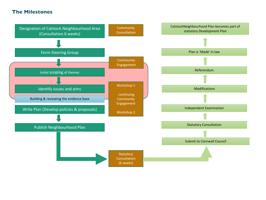#### **The Milestones**

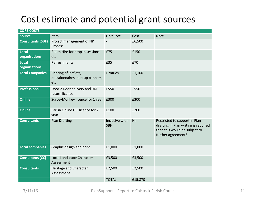# Cost estimate and potential grant sources

| <b>CORE COSTS</b>             |                                                                 |                              |            |                                                                                                                                |
|-------------------------------|-----------------------------------------------------------------|------------------------------|------------|--------------------------------------------------------------------------------------------------------------------------------|
| <b>Source</b>                 | Item                                                            | Unit Cost                    | Cost       | <b>Note</b>                                                                                                                    |
| <b>Consultants (SBF)</b>      | Project management of NP<br>Process                             |                              | £6,500     |                                                                                                                                |
| <b>Local</b><br>organisations | Room Hire for drop in sessions<br>etc                           | £75                          | £150       |                                                                                                                                |
| <b>Local</b><br>organisations | Refreshments                                                    | £35                          | £70        |                                                                                                                                |
| <b>Local Companies</b>        | Printing of leaflets,<br>questionnaires, pop-up banners,<br>etc | £ Varies                     | £1,100     |                                                                                                                                |
| <b>Professional</b>           | Door 2 Door delivery and RM<br>return licence                   | £550                         | £550       |                                                                                                                                |
| <b>Online</b>                 | SurveyMonkey licence for 1 year                                 | £300                         | £300       |                                                                                                                                |
| <b>Online</b>                 | Parish Online GIS licence for 2<br>year                         | £100                         | £200       |                                                                                                                                |
| <b>Consultants</b>            | <b>Plan Drafting</b>                                            | Inclusive with<br><b>SBF</b> | <b>Nil</b> | Restricted to support in Plan<br>drafting: if Plan writing is required<br>then this would be subject to<br>further agreement*. |
| <b>Local companies</b>        | Graphic design and print                                        | £1,000                       | £1,000     |                                                                                                                                |
| <b>Consultants (CC)</b>       | Local Landscape Character<br>Assessment                         | £3,500                       | £3,500     |                                                                                                                                |
| <b>Consultants</b>            | Heritage and Character<br>Assessment                            | £2,500                       | £2,500     |                                                                                                                                |
|                               |                                                                 | <b>TOTAL</b>                 | £15,870    |                                                                                                                                |